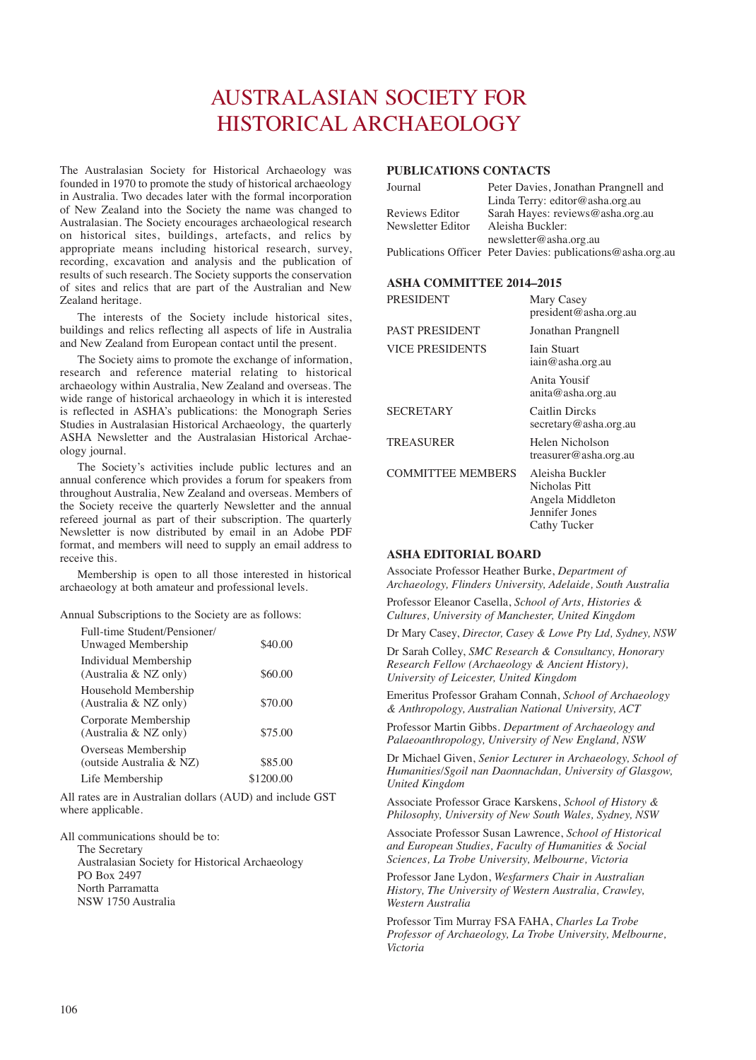# AUSTRALASIAN SOCIETY FOR HISTORICAL ARCHAEOLOGY

The Australasian Society for Historical Archaeology was founded in 1970 to promote the study of historical archaeology in Australia. Two decades later with the formal incorporation of New Zealand into the Society the name was changed to Australasian. The Society encourages archaeological research on historical sites, buildings, artefacts, and relics by appropriate means including historical research, survey, recording, excavation and analysis and the publication of results of such research. The Society supports the conservation of sites and relics that are part of the Australian and New Zealand heritage.

The interests of the Society include historical sites, buildings and relics reflecting all aspects of life in Australia and New Zealand from European contact until the present.

The Society aims to promote the exchange of information, research and reference material relating to historical archaeology within Australia, New Zealand and overseas. The wide range of historical archaeology in which it is interested is reflected in ASHA's publications: the Monograph Series Studies in Australasian Historical Archaeology, the quarterly ASHA Newsletter and the Australasian Historical Archaeology journal.

The Society's activities include public lectures and an annual conference which provides a forum for speakers from throughout Australia, New Zealand and overseas. Members of the Society receive the quarterly Newsletter and the annual refereed journal as part of their subscription. The quarterly Newsletter is now distributed by email in an Adobe PDF format, and members will need to supply an email address to receive this.

Membership is open to all those interested in historical archaeology at both amateur and professional levels.

Annual Subscriptions to the Society are as follows:

| Full-time Student/Pensioner/<br>Unwaged Membership | \$40.00   |
|----------------------------------------------------|-----------|
| Individual Membership<br>(Australia & NZ only)     | \$60.00   |
| Household Membership<br>(Australia & NZ only)      | \$70.00   |
| Corporate Membership<br>(Australia & NZ only)      | \$75.00   |
| Overseas Membership<br>(outside Australia & NZ)    | \$85.00   |
| Life Membership                                    | \$1200.00 |

All rates are in Australian dollars (AUD) and include GST where applicable.

All communications should be to:

The Secretary Australasian Society for Historical Archaeology PO Box 2497 North Parramatta NSW 1750 Australia

## **PUBLICATIONS CONTACTS**

| Journal           | Peter Davies, Jonathan Prangnell and                        |
|-------------------|-------------------------------------------------------------|
|                   | Linda Terry: editor@asha.org.au                             |
| Reviews Editor    | Sarah Hayes: reviews@asha.org.au                            |
| Newsletter Editor | Aleisha Buckler:                                            |
|                   | newsletter@asha.org.au                                      |
|                   | Publications Officer Peter Davies: publications@asha.org.au |

#### **ASHA COMMITTEE 2014–2015**

| <b>PRESIDENT</b>         | Mary Casey<br>president@asha.org.au                                                    |
|--------------------------|----------------------------------------------------------------------------------------|
| <b>PAST PRESIDENT</b>    | Jonathan Prangnell                                                                     |
| <b>VICE PRESIDENTS</b>   | <b>Iain Stuart</b><br>iain@asha.org.au                                                 |
|                          | Anita Yousif<br>anita@asha.org.au                                                      |
| <b>SECRETARY</b>         | Caitlin Dircks<br>secretary@asha.org.au                                                |
| <b>TREASURER</b>         | Helen Nicholson<br>treasurer@asha.org.au                                               |
| <b>COMMITTEE MEMBERS</b> | Aleisha Buckler<br>Nicholas Pitt<br>Angela Middleton<br>Jennifer Jones<br>Cathy Tucker |

### **ASHA EDITORIAL BOARD**

Associate Professor Heather Burke, *Department of Archaeology, Flinders University, Adelaide, South Australia*

Professor Eleanor Casella, *School of Arts, Histories & Cultures, University of Manchester, United Kingdom* 

Dr Mary Casey, *Director, Casey & Lowe Pty Ltd, Sydney, NSW*

Dr Sarah Colley, *SMC Research & Consultancy, Honorary Research Fellow (Archaeology & Ancient History), University of Leicester, United Kingdom*

Emeritus Professor Graham Connah, *School of Archaeology & Anthropology, Australian National University, ACT*

Professor Martin Gibbs. *Department of Archaeology and Palaeoanthropology, University of New England, NSW*

Dr Michael Given, *Senior Lecturer in Archaeology, School of Humanities/Sgoil nan Daonnachdan, University of Glasgow, United Kingdom*

Associate Professor Grace Karskens, *School of History & Philosophy, University of New South Wales, Sydney, NSW*

Associate Professor Susan Lawrence, *School of Historical and European Studies, Faculty of Humanities & Social Sciences, La Trobe University, Melbourne, Victoria*

Professor Jane Lydon, *Wesfarmers Chair in Australian History, The University of Western Australia, Crawley, Western Australia*

Professor Tim Murray FSA FAHA, *Charles La Trobe Professor of Archaeology, La Trobe University, Melbourne, Victoria*